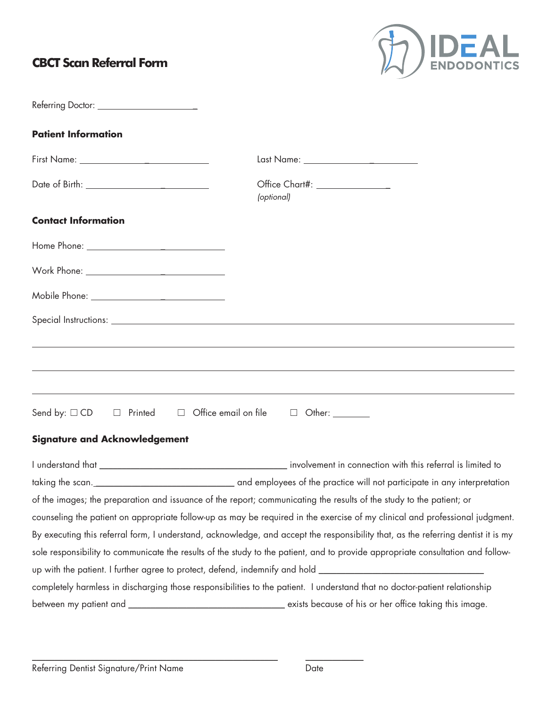## **CBCT Scan Referral Form**



| Referring Doctor: ________________________                                                                           |                                                                                                                                                                                                                                     |  |  |  |  |  |
|----------------------------------------------------------------------------------------------------------------------|-------------------------------------------------------------------------------------------------------------------------------------------------------------------------------------------------------------------------------------|--|--|--|--|--|
| <b>Patient Information</b>                                                                                           |                                                                                                                                                                                                                                     |  |  |  |  |  |
|                                                                                                                      |                                                                                                                                                                                                                                     |  |  |  |  |  |
|                                                                                                                      | (optional)                                                                                                                                                                                                                          |  |  |  |  |  |
| <b>Contact Information</b>                                                                                           |                                                                                                                                                                                                                                     |  |  |  |  |  |
|                                                                                                                      |                                                                                                                                                                                                                                     |  |  |  |  |  |
|                                                                                                                      |                                                                                                                                                                                                                                     |  |  |  |  |  |
| Mobile Phone: _______________________________                                                                        |                                                                                                                                                                                                                                     |  |  |  |  |  |
|                                                                                                                      | Special Instructions: <u>Communications</u> Constanting Constanting Constanting Constanting Constanting Constanting Constanting Constanting Constanting Constanting Constanting Constanting Constanting Constanting Constanting Con |  |  |  |  |  |
|                                                                                                                      |                                                                                                                                                                                                                                     |  |  |  |  |  |
|                                                                                                                      |                                                                                                                                                                                                                                     |  |  |  |  |  |
|                                                                                                                      | <u> 1989 - Andrea Santana, amerikana amerikana amerikana amerikana amerikana amerikana amerikana amerikana amerika</u>                                                                                                              |  |  |  |  |  |
|                                                                                                                      | ,我们也不会有什么。""我们的人,我们也不会有什么?""我们的人,我们也不会有什么?""我们的人,我们也不会有什么?""我们的人,我们也不会有什么?""我们的人<br>Send by: $\Box$ CD $\Box$ Printed $\Box$ Office email on file $\Box$ Other: ________                                                            |  |  |  |  |  |
| <b>Signature and Acknowledgement</b>                                                                                 |                                                                                                                                                                                                                                     |  |  |  |  |  |
|                                                                                                                      |                                                                                                                                                                                                                                     |  |  |  |  |  |
|                                                                                                                      |                                                                                                                                                                                                                                     |  |  |  |  |  |
| of the images; the preparation and issuance of the report; communicating the results of the study to the patient; or |                                                                                                                                                                                                                                     |  |  |  |  |  |
|                                                                                                                      | counseling the patient on appropriate follow-up as may be required in the exercise of my clinical and professional judgment.                                                                                                        |  |  |  |  |  |
|                                                                                                                      | By executing this referral form, I understand, acknowledge, and accept the responsibility that, as the referring dentist it is my                                                                                                   |  |  |  |  |  |
|                                                                                                                      | sole responsibility to communicate the results of the study to the patient, and to provide appropriate consultation and follow-                                                                                                     |  |  |  |  |  |
|                                                                                                                      | up with the patient. I further agree to protect, defend, indemnify and hold __________________________________                                                                                                                      |  |  |  |  |  |
|                                                                                                                      | completely harmless in discharging those responsibilities to the patient. I understand that no doctor-patient relationship                                                                                                          |  |  |  |  |  |
|                                                                                                                      |                                                                                                                                                                                                                                     |  |  |  |  |  |

\_\_\_\_\_\_\_\_\_\_\_\_\_\_\_\_\_\_\_\_\_\_\_\_\_\_\_\_\_\_\_\_\_\_\_\_\_\_\_\_\_\_\_\_\_\_\_\_\_\_\_\_\_\_\_ \_\_\_\_\_\_\_\_\_\_\_\_\_